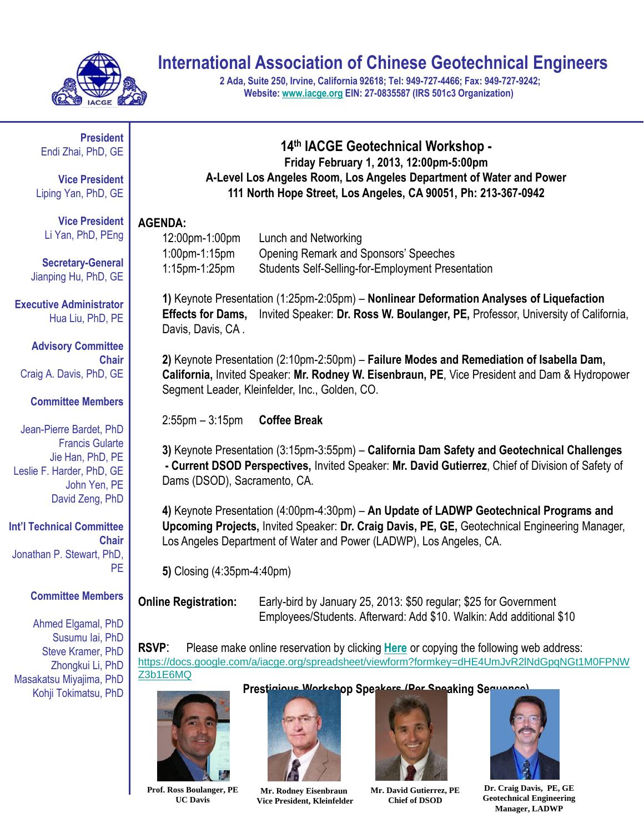

# **International Association of Chinese Geotechnical Engineers**

**2 Ada, Suite 250, Irvine, California 92618; Tel: 949-727-4466; Fax: 949-727-9242; Website: [www.iacge.org](http://www.nac-gea.org/) EIN: 27-0835587 (IRS 501c3 Organization)**

**President** Endi Zhai, PhD, GE

**Vice President** Liping Yan, PhD, GE

**Vice President** Li Yan, PhD, PEng

**Secretary-General** Jianping Hu, PhD, GE

**Executive Administrator** Hua Liu, PhD, PE

**Advisory Committee Chair** Craig A. Davis, PhD, GE

#### **Committee Members**

Jean-Pierre Bardet, PhD Francis Gularte Jie Han, PhD, PE Leslie F. Harder, PhD, GE John Yen, PE David Zeng, PhD

**Int'l Technical Committee Chair** Jonathan P. Stewart, PhD, PE

**Committee Members**

Ahmed Elgamal, PhD Susumu Iai, PhD Steve Kramer, PhD Zhongkui Li, PhD Masakatsu Miyajima, PhD Kohji Tokimatsu, PhD

#### **14th IACGE Geotechnical Workshop - Friday February 1, 2013, 12:00pm-5:00pm A-Level Los Angeles Room, Los Angeles Department of Water and Power 111 North Hope Street, Los Angeles, CA 90051, Ph: 213-367-0942**

#### **AGENDA:**

| 12:00pm-1:00pm   | Lunch and Networking                                     |
|------------------|----------------------------------------------------------|
| $1:00$ pm-1:15pm | Opening Remark and Sponsors' Speeches                    |
| $1:15$ pm-1:25pm | <b>Students Self-Selling-for-Employment Presentation</b> |

**1)** Keynote Presentation (1:25pm-2:05pm) – **Nonlinear Deformation Analyses of Liquefaction Effects for Dams,** Invited Speaker: **Dr. Ross W. Boulanger, PE,** Professor, University of California, Davis, Davis, CA .

**2)** Keynote Presentation (2:10pm-2:50pm) – **Failure Modes and Remediation of Isabella Dam, California,** Invited Speaker: **Mr. Rodney W. Eisenbraun, PE**, Vice President and Dam & Hydropower Segment Leader, Kleinfelder, Inc., Golden, CO.

2:55pm – 3:15pm **Coffee Break**

**3)** Keynote Presentation (3:15pm-3:55pm) – **California Dam Safety and Geotechnical Challenges - Current DSOD Perspectives,** Invited Speaker: **Mr. David Gutierrez**, Chief of Division of Safety of Dams (DSOD), Sacramento, CA.

**4)** Keynote Presentation (4:00pm-4:30pm) – **An Update of LADWP Geotechnical Programs and Upcoming Projects,** Invited Speaker: **Dr. Craig Davis, PE, GE,** Geotechnical Engineering Manager, Los Angeles Department of Water and Power (LADWP), Los Angeles, CA.

**5)** Closing (4:35pm-4:40pm)

**Online Registration:** Early-bird by January 25, 2013: \$50 regular; \$25 for Government Employees/Students. Afterward: Add \$10. Walkin: Add additional \$10

**RSVP**: Please make online reservation by clicking **[Here](https://docs.google.com/a/iacge.org/spreadsheet/viewform?formkey=dHE4UmJvR2lNdGpqNGt1M0FPNWZ3b1E6MQ)** or copying the following web address: [https://docs.google.com/a/iacge.org/spreadsheet/viewform?formkey=dHE4UmJvR2lNdGpqNGt1M0FPNW](https://docs.google.com/a/iacge.org/spreadsheet/viewform?formkey=dHE4UmJvR2lNdGpqNGt1M0FPNWZ3b1E6MQ) [Z3b1E6MQ](https://docs.google.com/a/iacge.org/spreadsheet/viewform?formkey=dHE4UmJvR2lNdGpqNGt1M0FPNWZ3b1E6MQ)

Prestigious Workshop Speakers (Per Speaking Sequence)



**Prof. Ross Boulanger, PE UC Davis**



**Mr. Rodney Eisenbraun Vice President, Kleinfelder**

**Mr. David Gutierrez, PE**

**Chief of DSOD**



**Dr. Craig Davis, PE, GE Geotechnical Engineering Manager, LADWP**